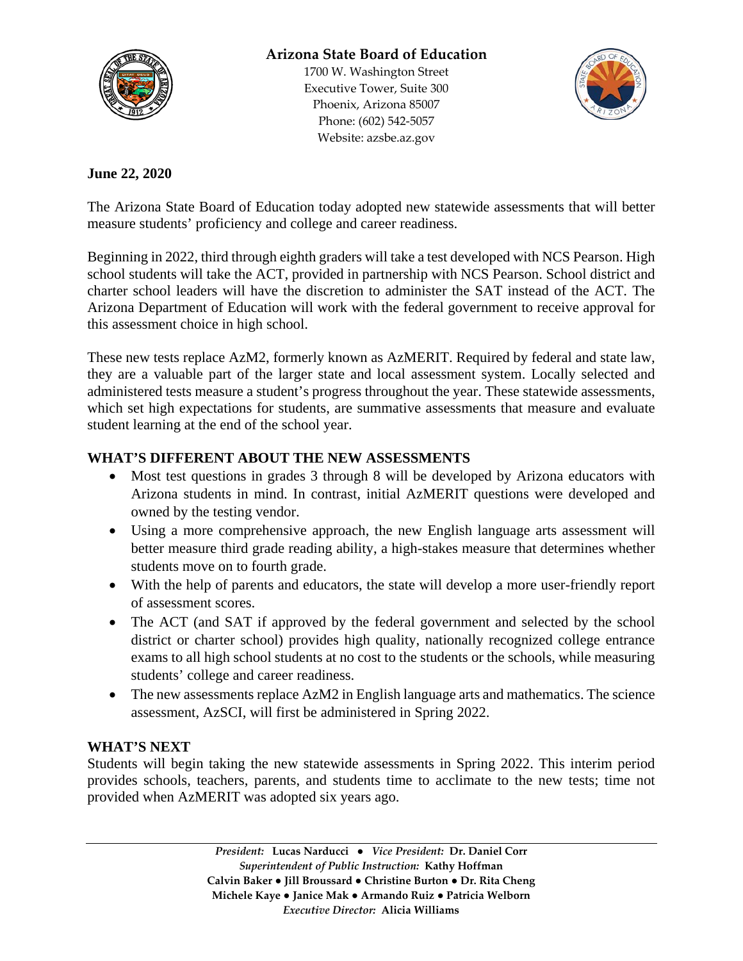

## **Arizona State Board of Education**

1700 W. Washington Street Executive Tower, Suite 300 Phoenix, Arizona 85007 Phone: (602) 542-5057 Website: azsbe.az.gov



### **June 22, 2020**

The Arizona State Board of Education today adopted new statewide assessments that will better measure students' proficiency and college and career readiness.

Beginning in 2022, third through eighth graders will take a test developed with NCS Pearson. High school students will take the ACT, provided in partnership with NCS Pearson. School district and charter school leaders will have the discretion to administer the SAT instead of the ACT. The Arizona Department of Education will work with the federal government to receive approval for this assessment choice in high school.

These new tests replace AzM2, formerly known as AzMERIT. Required by federal and state law, they are a valuable part of the larger state and local assessment system. Locally selected and administered tests measure a student's progress throughout the year. These statewide assessments, which set high expectations for students, are summative assessments that measure and evaluate student learning at the end of the school year.

## **WHAT'S DIFFERENT ABOUT THE NEW ASSESSMENTS**

- Most test questions in grades 3 through 8 will be developed by Arizona educators with Arizona students in mind. In contrast, initial AzMERIT questions were developed and owned by the testing vendor.
- Using a more comprehensive approach, the new English language arts assessment will better measure third grade reading ability, a high-stakes measure that determines whether students move on to fourth grade.
- With the help of parents and educators, the state will develop a more user-friendly report of assessment scores.
- The ACT (and SAT if approved by the federal government and selected by the school district or charter school) provides high quality, nationally recognized college entrance exams to all high school students at no cost to the students or the schools, while measuring students' college and career readiness.
- The new assessments replace AzM2 in English language arts and mathematics. The science assessment, AzSCI, will first be administered in Spring 2022.

### **WHAT'S NEXT**

Students will begin taking the new statewide assessments in Spring 2022. This interim period provides schools, teachers, parents, and students time to acclimate to the new tests; time not provided when AzMERIT was adopted six years ago.

> *President:* **Lucas Narducci ●** *Vice President:* **Dr. Daniel Corr** *Superintendent of Public Instruction:* **Kathy Hoffman Calvin Baker ● Jill Broussard ● Christine Burton ● Dr. Rita Cheng Michele Kaye ● Janice Mak ● Armando Ruiz ● Patricia Welborn** *Executive Director:* **Alicia Williams**